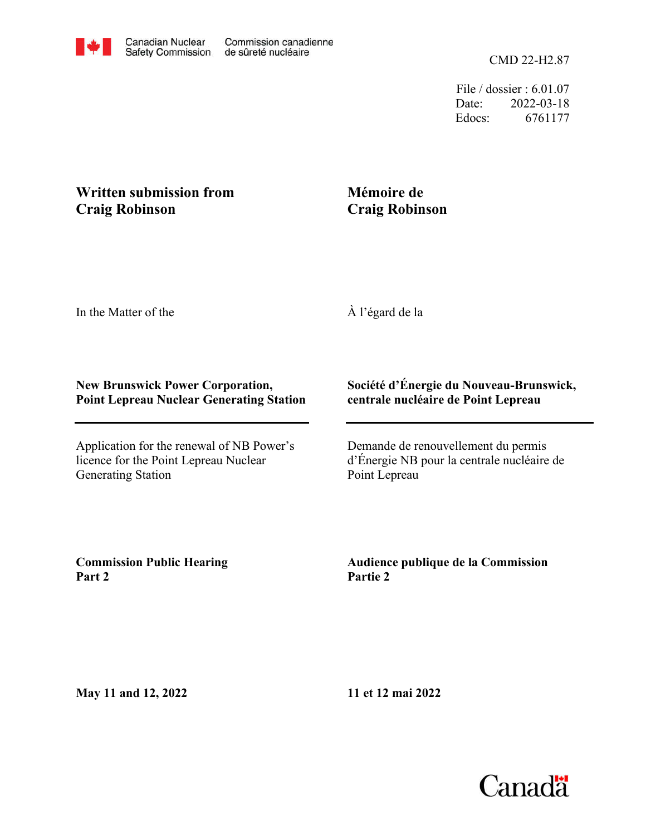File / dossier : 6.01.07 Date: 2022-03-18 Edocs: 6761177

## **Written submission from Craig Robinson**

## **Mémoire de Craig Robinson**

In the Matter of the

À l'égard de la

## **New Brunswick Power Corporation, Point Lepreau Nuclear Generating Station**

Application for the renewal of NB Power's licence for the Point Lepreau Nuclear Generating Station

## **Société d'Énergie du Nouveau-Brunswick, centrale nucléaire de Point Lepreau**

Demande de renouvellement du permis d'Énergie NB pour la centrale nucléaire de Point Lepreau

**Commission Public Hearing Part 2**

**Audience publique de la Commission Partie 2**

**May 11 and 12, 2022**

**11 et 12 mai 2022**